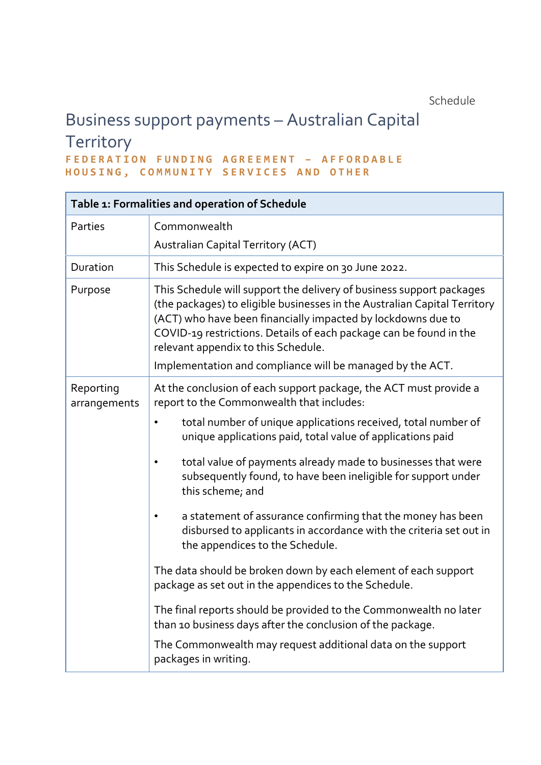# Schedule

# Business support payments – Australian Capital

# **Territory**

### **FEDERATION FUNDING AGREEMENT – AFFORDABLE HOUSING, COMMUNITY SERVICES AND OTHER**

| Table 1: Formalities and operation of Schedule |                                                                                                                                                                                                                                                                                                                                |  |
|------------------------------------------------|--------------------------------------------------------------------------------------------------------------------------------------------------------------------------------------------------------------------------------------------------------------------------------------------------------------------------------|--|
| Parties                                        | Commonwealth                                                                                                                                                                                                                                                                                                                   |  |
|                                                | <b>Australian Capital Territory (ACT)</b>                                                                                                                                                                                                                                                                                      |  |
| Duration                                       | This Schedule is expected to expire on 30 June 2022.                                                                                                                                                                                                                                                                           |  |
| Purpose                                        | This Schedule will support the delivery of business support packages<br>(the packages) to eligible businesses in the Australian Capital Territory<br>(ACT) who have been financially impacted by lockdowns due to<br>COVID-19 restrictions. Details of each package can be found in the<br>relevant appendix to this Schedule. |  |
|                                                | Implementation and compliance will be managed by the ACT.                                                                                                                                                                                                                                                                      |  |
| Reporting<br>arrangements                      | At the conclusion of each support package, the ACT must provide a<br>report to the Commonwealth that includes:                                                                                                                                                                                                                 |  |
|                                                | total number of unique applications received, total number of<br>unique applications paid, total value of applications paid                                                                                                                                                                                                    |  |
|                                                | total value of payments already made to businesses that were<br>$\bullet$<br>subsequently found, to have been ineligible for support under<br>this scheme; and                                                                                                                                                                 |  |
|                                                | a statement of assurance confirming that the money has been<br>disbursed to applicants in accordance with the criteria set out in<br>the appendices to the Schedule.                                                                                                                                                           |  |
|                                                | The data should be broken down by each element of each support<br>package as set out in the appendices to the Schedule.                                                                                                                                                                                                        |  |
|                                                | The final reports should be provided to the Commonwealth no later<br>than 10 business days after the conclusion of the package.                                                                                                                                                                                                |  |
|                                                | The Commonwealth may request additional data on the support<br>packages in writing.                                                                                                                                                                                                                                            |  |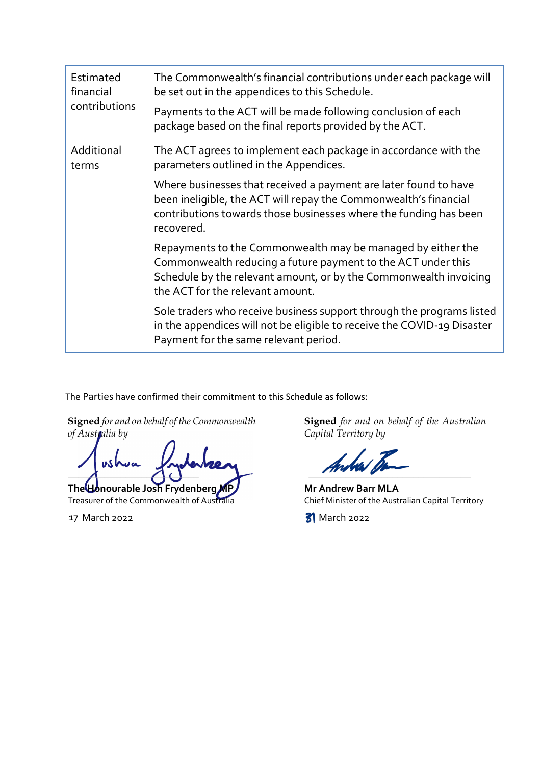| Estimated<br>financial<br>contributions | The Commonwealth's financial contributions under each package will<br>be set out in the appendices to this Schedule.<br>Payments to the ACT will be made following conclusion of each                                                |
|-----------------------------------------|--------------------------------------------------------------------------------------------------------------------------------------------------------------------------------------------------------------------------------------|
|                                         | package based on the final reports provided by the ACT.                                                                                                                                                                              |
| Additional<br>terms                     | The ACT agrees to implement each package in accordance with the<br>parameters outlined in the Appendices.                                                                                                                            |
|                                         | Where businesses that received a payment are later found to have<br>been ineligible, the ACT will repay the Commonwealth's financial<br>contributions towards those businesses where the funding has been<br>recovered.              |
|                                         | Repayments to the Commonwealth may be managed by either the<br>Commonwealth reducing a future payment to the ACT under this<br>Schedule by the relevant amount, or by the Commonwealth invoicing<br>the ACT for the relevant amount. |
|                                         | Sole traders who receive business support through the programs listed<br>in the appendices will not be eligible to receive the COVID-19 Disaster<br>Payment for the same relevant period.                                            |

The Parties have confirmed their commitment to this Schedule as follows:

**Signed** *for and on behalf of the Commonwealth of Australia by*

ush  $\lambda$   $\Delta$ **The Honourable Josh Frydenberg MP**

Treasurer of the Commonwealth of Australia

March 2022

**Signed** *for and on behalf of the Australian Capital Territory by*

Ander Ba

**Mr Andrew Barr MLA** Chief Minister of the Australian Capital Territory

**31** March 2022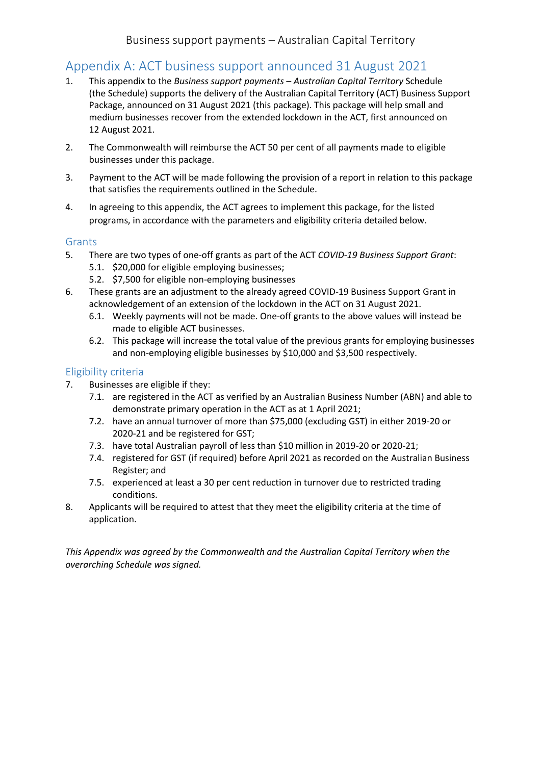# Appendix A: ACT business support announced 31 August 2021

- 1. This appendix to the *Business support payments – Australian Capital Territory* Schedule (the Schedule) supports the delivery of the Australian Capital Territory (ACT) Business Support Package, announced on 31 August 2021 (this package). This package will help small and medium businesses recover from the extended lockdown in the ACT, first announced on 12 August 2021.
- 2. The Commonwealth will reimburse the ACT 50 per cent of all payments made to eligible businesses under this package.
- 3. Payment to the ACT will be made following the provision of a report in relation to this package that satisfies the requirements outlined in the Schedule.
- 4. In agreeing to this appendix, the ACT agrees to implement this package, for the listed programs, in accordance with the parameters and eligibility criteria detailed below.

#### Grants

- 5. There are two types of one-off grants as part of the ACT *COVID-19 Business Support Grant*:
	- 5.1. \$20,000 for eligible employing businesses;
	- 5.2. \$7,500 for eligible non-employing businesses
- 6. These grants are an adjustment to the already agreed COVID-19 Business Support Grant in acknowledgement of an extension of the lockdown in the ACT on 31 August 2021.
	- 6.1. Weekly payments will not be made. One-off grants to the above values will instead be made to eligible ACT businesses.
	- 6.2. This package will increase the total value of the previous grants for employing businesses and non-employing eligible businesses by \$10,000 and \$3,500 respectively.

#### Eligibility criteria

- 7. Businesses are eligible if they:
	- 7.1. are registered in the ACT as verified by an Australian Business Number (ABN) and able to demonstrate primary operation in the ACT as at 1 April 2021;
	- 7.2. have an annual turnover of more than \$75,000 (excluding GST) in either 2019-20 or 2020-21 and be registered for GST;
	- 7.3. have total Australian payroll of less than \$10 million in 2019-20 or 2020-21;
	- 7.4. registered for GST (if required) before April 2021 as recorded on the Australian Business Register; and
	- 7.5. experienced at least a 30 per cent reduction in turnover due to restricted trading conditions.
- 8. Applicants will be required to attest that they meet the eligibility criteria at the time of application.

*This Appendix was agreed by the Commonwealth and the Australian Capital Territory when the overarching Schedule was signed.*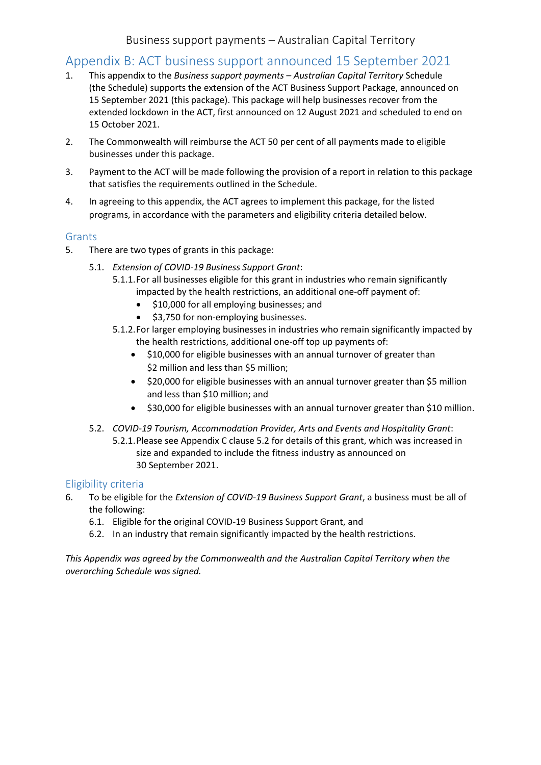#### Business support payments – Australian Capital Territory

Appendix B: ACT business support announced 15 September 2021

- 1. This appendix to the *Business support payments – Australian Capital Territory* Schedule (the Schedule) supports the extension of the ACT Business Support Package, announced on 15 September 2021 (this package). This package will help businesses recover from the extended lockdown in the ACT, first announced on 12 August 2021 and scheduled to end on 15 October 2021.
- 2. The Commonwealth will reimburse the ACT 50 per cent of all payments made to eligible businesses under this package.
- 3. Payment to the ACT will be made following the provision of a report in relation to this package that satisfies the requirements outlined in the Schedule.
- 4. In agreeing to this appendix, the ACT agrees to implement this package, for the listed programs, in accordance with the parameters and eligibility criteria detailed below.

#### **Grants**

- 5. There are two types of grants in this package:
	- 5.1. *Extension of COVID-19 Business Support Grant*:
		- 5.1.1.For all businesses eligible for this grant in industries who remain significantly impacted by the health restrictions, an additional one-off payment of:
			- \$10,000 for all employing businesses; and
			- \$3,750 for non-employing businesses.
		- 5.1.2.For larger employing businesses in industries who remain significantly impacted by the health restrictions, additional one-off top up payments of:
			- \$10,000 for eligible businesses with an annual turnover of greater than \$2 million and less than \$5 million;
			- \$20,000 for eligible businesses with an annual turnover greater than \$5 million and less than \$10 million; and
			- \$30,000 for eligible businesses with an annual turnover greater than \$10 million.
	- 5.2. *COVID-19 Tourism, Accommodation Provider, Arts and Events and Hospitality Grant*: 5.2.1.Please see Appendix C clause 5.2 for details of this grant, which was increased in size and expanded to include the fitness industry as announced on 30 September 2021.

#### Eligibility criteria

- 6. To be eligible for the *Extension of COVID-19 Business Support Grant*, a business must be all of the following:
	- 6.1. Eligible for the original COVID-19 Business Support Grant, and
	- 6.2. In an industry that remain significantly impacted by the health restrictions.

*This Appendix was agreed by the Commonwealth and the Australian Capital Territory when the overarching Schedule was signed.*